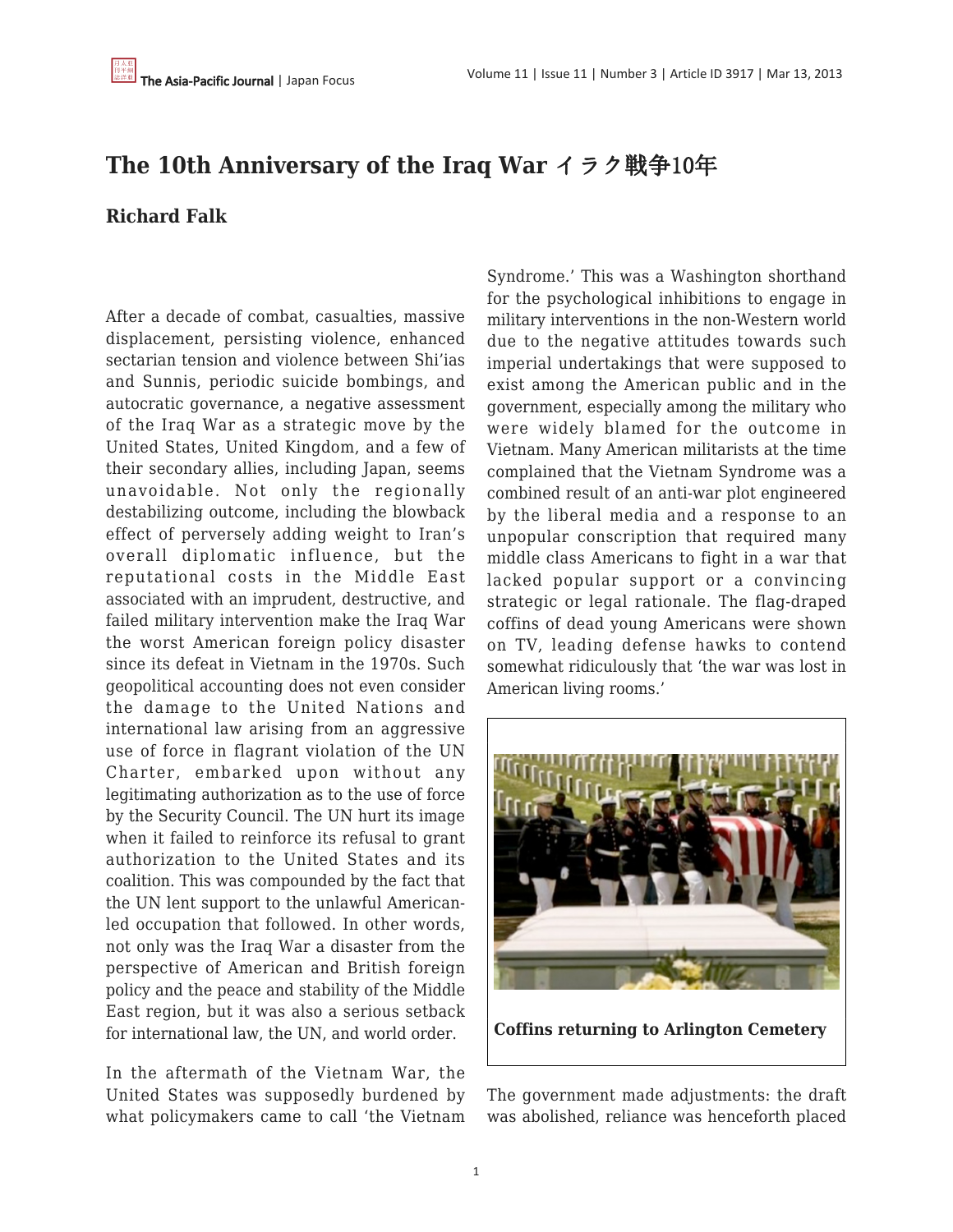## **The 10th Anniversary of the Iraq War** イラク戦争10年

## **Richard Falk**

After a decade of combat, casualties, massive displacement, persisting violence, enhanced sectarian tension and violence between Shi'ias and Sunnis, periodic suicide bombings, and autocratic governance, a negative assessment of the Iraq War as a strategic move by the United States, United Kingdom, and a few of their secondary allies, including Japan, seems unavoidable. Not only the regionally destabilizing outcome, including the blowback effect of perversely adding weight to Iran's overall diplomatic influence, but the reputational costs in the Middle East associated with an imprudent, destructive, and failed military intervention make the Iraq War the worst American foreign policy disaster since its defeat in Vietnam in the 1970s. Such geopolitical accounting does not even consider the damage to the United Nations and international law arising from an aggressive use of force in flagrant violation of the UN Charter, embarked upon without any legitimating authorization as to the use of force by the Security Council. The UN hurt its image when it failed to reinforce its refusal to grant authorization to the United States and its coalition. This was compounded by the fact that the UN lent support to the unlawful Americanled occupation that followed. In other words, not only was the Iraq War a disaster from the perspective of American and British foreign policy and the peace and stability of the Middle East region, but it was also a serious setback for international law, the UN, and world order.

In the aftermath of the Vietnam War, the United States was supposedly burdened by what policymakers came to call 'the Vietnam Syndrome.' This was a Washington shorthand for the psychological inhibitions to engage in military interventions in the non-Western world due to the negative attitudes towards such imperial undertakings that were supposed to exist among the American public and in the government, especially among the military who were widely blamed for the outcome in Vietnam. Many American militarists at the time complained that the Vietnam Syndrome was a combined result of an anti-war plot engineered by the liberal media and a response to an unpopular conscription that required many middle class Americans to fight in a war that lacked popular support or a convincing strategic or legal rationale. The flag-draped coffins of dead young Americans were shown on TV, leading defense hawks to contend somewhat ridiculously that 'the war was lost in American living rooms.'



**Coffins returning to Arlington Cemetery**

The government made adjustments: the draft was abolished, reliance was henceforth placed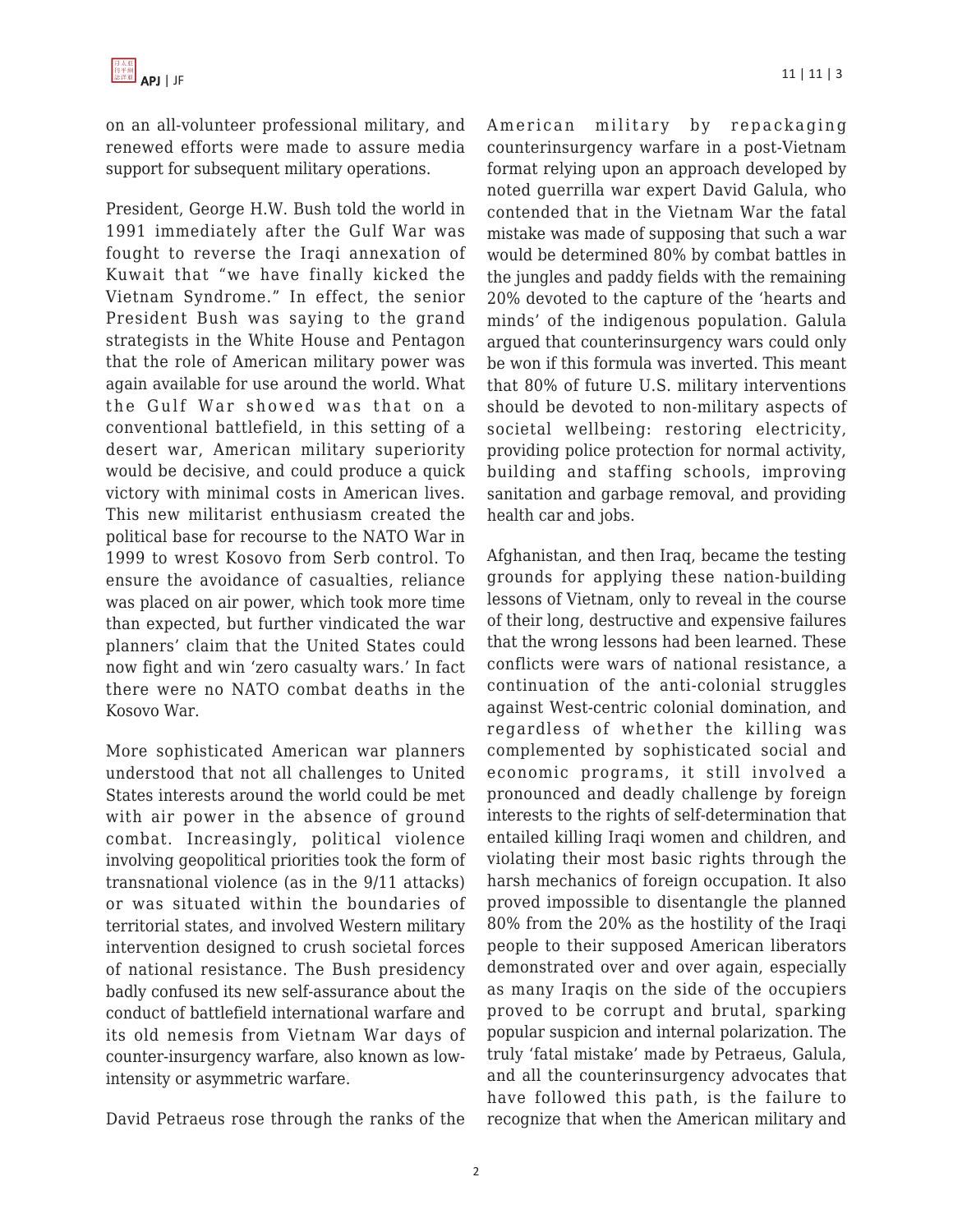on an all-volunteer professional military, and renewed efforts were made to assure media support for subsequent military operations.

President, George H.W. Bush told the world in 1991 immediately after the Gulf War was fought to reverse the Iraqi annexation of Kuwait that "we have finally kicked the Vietnam Syndrome." In effect, the senior President Bush was saying to the grand strategists in the White House and Pentagon that the role of American military power was again available for use around the world. What the Gulf War showed was that on a conventional battlefield, in this setting of a desert war, American military superiority would be decisive, and could produce a quick victory with minimal costs in American lives. This new militarist enthusiasm created the political base for recourse to the NATO War in 1999 to wrest Kosovo from Serb control. To ensure the avoidance of casualties, reliance was placed on air power, which took more time than expected, but further vindicated the war planners' claim that the United States could now fight and win 'zero casualty wars.' In fact there were no NATO combat deaths in the Kosovo War.

More sophisticated American war planners understood that not all challenges to United States interests around the world could be met with air power in the absence of ground combat. Increasingly, political violence involving geopolitical priorities took the form of transnational violence (as in the 9/11 attacks) or was situated within the boundaries of territorial states, and involved Western military intervention designed to crush societal forces of national resistance. The Bush presidency badly confused its new self-assurance about the conduct of battlefield international warfare and its old nemesis from Vietnam War days of counter-insurgency warfare, also known as lowintensity or asymmetric warfare.

David Petraeus rose through the ranks of the

American military by repackaging counterinsurgency warfare in a post-Vietnam format relying upon an approach developed by noted guerrilla war expert David Galula, who contended that in the Vietnam War the fatal mistake was made of supposing that such a war would be determined 80% by combat battles in the jungles and paddy fields with the remaining 20% devoted to the capture of the 'hearts and minds' of the indigenous population. Galula argued that counterinsurgency wars could only be won if this formula was inverted. This meant that 80% of future U.S. military interventions should be devoted to non-military aspects of societal wellbeing: restoring electricity, providing police protection for normal activity, building and staffing schools, improving sanitation and garbage removal, and providing health car and jobs.

Afghanistan, and then Iraq, became the testing grounds for applying these nation-building lessons of Vietnam, only to reveal in the course of their long, destructive and expensive failures that the wrong lessons had been learned. These conflicts were wars of national resistance, a continuation of the anti-colonial struggles against West-centric colonial domination, and regardless of whether the killing was complemented by sophisticated social and economic programs, it still involved a pronounced and deadly challenge by foreign interests to the rights of self-determination that entailed killing Iraqi women and children, and violating their most basic rights through the harsh mechanics of foreign occupation. It also proved impossible to disentangle the planned 80% from the 20% as the hostility of the Iraqi people to their supposed American liberators demonstrated over and over again, especially as many Iraqis on the side of the occupiers proved to be corrupt and brutal, sparking popular suspicion and internal polarization. The truly 'fatal mistake' made by Petraeus, Galula, and all the counterinsurgency advocates that have followed this path, is the failure to recognize that when the American military and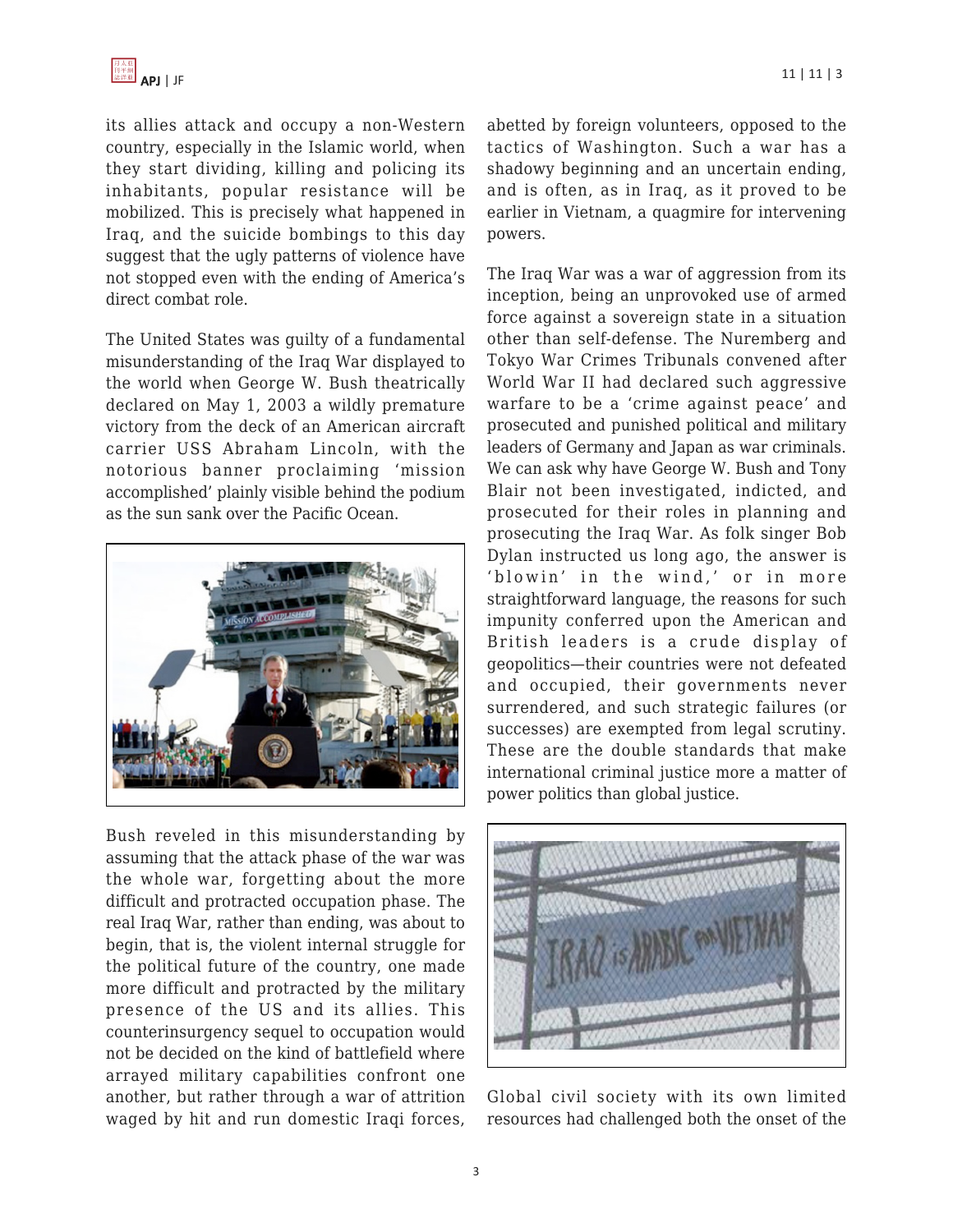its allies attack and occupy a non-Western country, especially in the Islamic world, when they start dividing, killing and policing its inhabitants, popular resistance will be mobilized. This is precisely what happened in Iraq, and the suicide bombings to this day suggest that the ugly patterns of violence have not stopped even with the ending of America's direct combat role.

The United States was guilty of a fundamental misunderstanding of the Iraq War displayed to the world when George W. Bush theatrically declared on May 1, 2003 a wildly premature victory from the deck of an American aircraft carrier USS Abraham Lincoln, with the notorious banner proclaiming 'mission accomplished' plainly visible behind the podium as the sun sank over the Pacific Ocean.



Bush reveled in this misunderstanding by assuming that the attack phase of the war was the whole war, forgetting about the more difficult and protracted occupation phase. The real Iraq War, rather than ending, was about to begin, that is, the violent internal struggle for the political future of the country, one made more difficult and protracted by the military presence of the US and its allies. This counterinsurgency sequel to occupation would not be decided on the kind of battlefield where arrayed military capabilities confront one another, but rather through a war of attrition waged by hit and run domestic Iraqi forces, abetted by foreign volunteers, opposed to the tactics of Washington. Such a war has a shadowy beginning and an uncertain ending, and is often, as in Iraq, as it proved to be earlier in Vietnam, a quagmire for intervening powers.

The Iraq War was a war of aggression from its inception, being an unprovoked use of armed force against a sovereign state in a situation other than self-defense. The Nuremberg and Tokyo War Crimes Tribunals convened after World War II had declared such aggressive warfare to be a 'crime against peace' and prosecuted and punished political and military leaders of Germany and Japan as war criminals. We can ask why have George W. Bush and Tony Blair not been investigated, indicted, and prosecuted for their roles in planning and prosecuting the Iraq War. As folk singer Bob Dylan instructed us long ago, the answer is 'blowin' in the wind,' or in more straightforward language, the reasons for such impunity conferred upon the American and British leaders is a crude display of geopolitics—their countries were not defeated and occupied, their governments never surrendered, and such strategic failures (or successes) are exempted from legal scrutiny. These are the double standards that make international criminal justice more a matter of power politics than global justice.



Global civil society with its own limited resources had challenged both the onset of the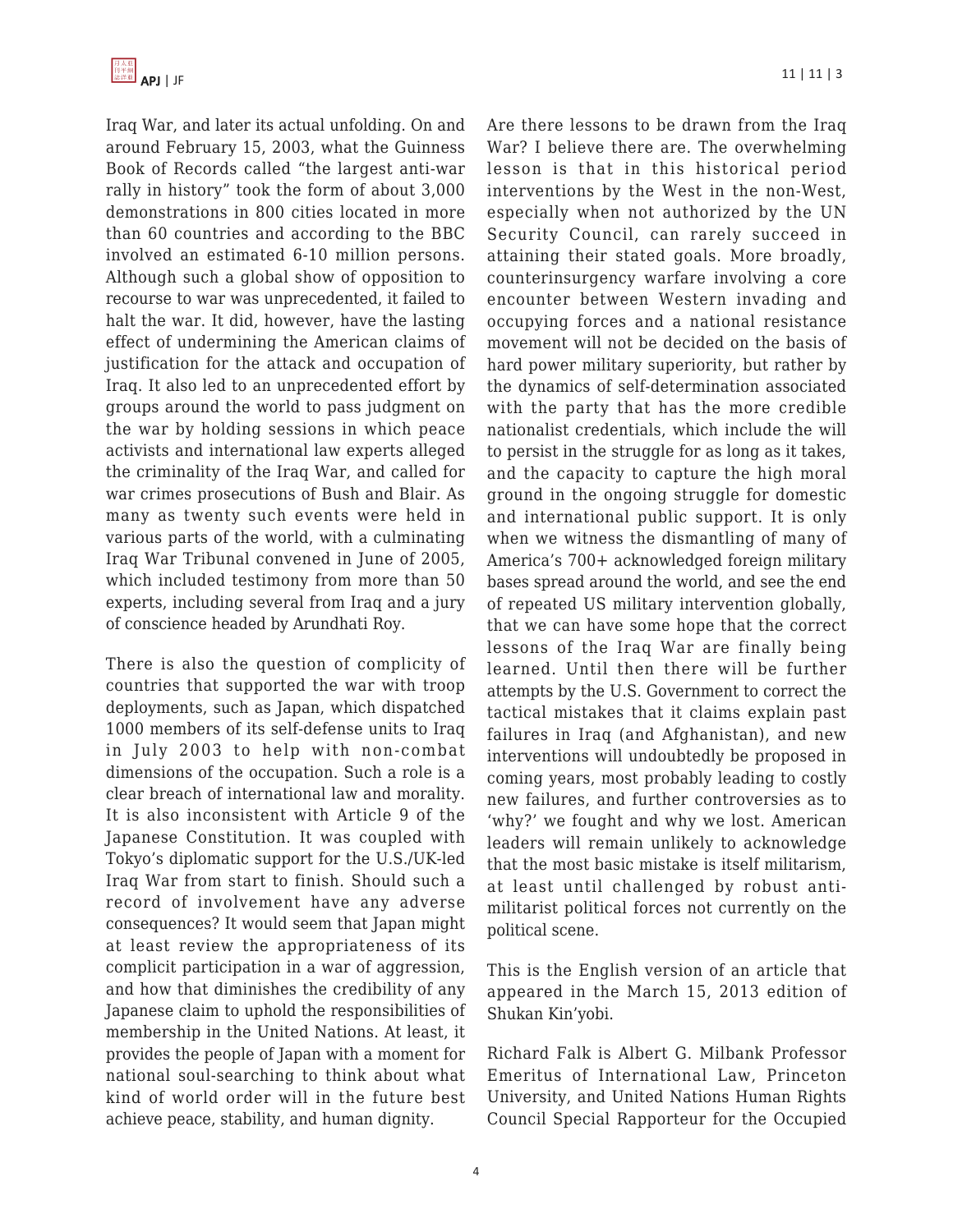Iraq War, and later its actual unfolding. On and around February 15, 2003, what the Guinness Book of Records called "the largest anti-war rally in history" took the form of about 3,000 demonstrations in 800 cities located in more than 60 countries and according to the BBC involved an estimated 6-10 million persons. Although such a global show of opposition to recourse to war was unprecedented, it failed to halt the war. It did, however, have the lasting effect of undermining the American claims of justification for the attack and occupation of Iraq. It also led to an unprecedented effort by groups around the world to pass judgment on the war by holding sessions in which peace activists and international law experts alleged the criminality of the Iraq War, and called for war crimes prosecutions of Bush and Blair. As many as twenty such events were held in various parts of the world, with a culminating Iraq War Tribunal convened in June of 2005, which included testimony from more than 50 experts, including several from Iraq and a jury of conscience headed by Arundhati Roy.

There is also the question of complicity of countries that supported the war with troop deployments, such as Japan, which dispatched 1000 members of its self-defense units to Iraq in July 2003 to help with non-combat dimensions of the occupation. Such a role is a clear breach of international law and morality. It is also inconsistent with Article 9 of the Japanese Constitution. It was coupled with Tokyo's diplomatic support for the U.S./UK-led Iraq War from start to finish. Should such a record of involvement have any adverse consequences? It would seem that Japan might at least review the appropriateness of its complicit participation in a war of aggression, and how that diminishes the credibility of any Japanese claim to uphold the responsibilities of membership in the United Nations. At least, it provides the people of Japan with a moment for national soul-searching to think about what kind of world order will in the future best achieve peace, stability, and human dignity.

Are there lessons to be drawn from the Iraq War? I believe there are. The overwhelming lesson is that in this historical period interventions by the West in the non-West, especially when not authorized by the UN Security Council, can rarely succeed in attaining their stated goals. More broadly, counterinsurgency warfare involving a core encounter between Western invading and occupying forces and a national resistance movement will not be decided on the basis of hard power military superiority, but rather by the dynamics of self-determination associated with the party that has the more credible nationalist credentials, which include the will to persist in the struggle for as long as it takes, and the capacity to capture the high moral ground in the ongoing struggle for domestic and international public support. It is only when we witness the dismantling of many of America's 700+ acknowledged foreign military bases spread around the world, and see the end of repeated US military intervention globally, that we can have some hope that the correct lessons of the Iraq War are finally being learned. Until then there will be further attempts by the U.S. Government to correct the tactical mistakes that it claims explain past failures in Iraq (and Afghanistan), and new interventions will undoubtedly be proposed in coming years, most probably leading to costly new failures, and further controversies as to 'why?' we fought and why we lost. American leaders will remain unlikely to acknowledge that the most basic mistake is itself militarism, at least until challenged by robust antimilitarist political forces not currently on the political scene.

This is the English version of an article that appeared in the March 15, 2013 edition of Shukan Kin'yobi.

Richard Falk is Albert G. Milbank Professor Emeritus of International Law, Princeton University, and United Nations Human Rights Council Special Rapporteur for the Occupied